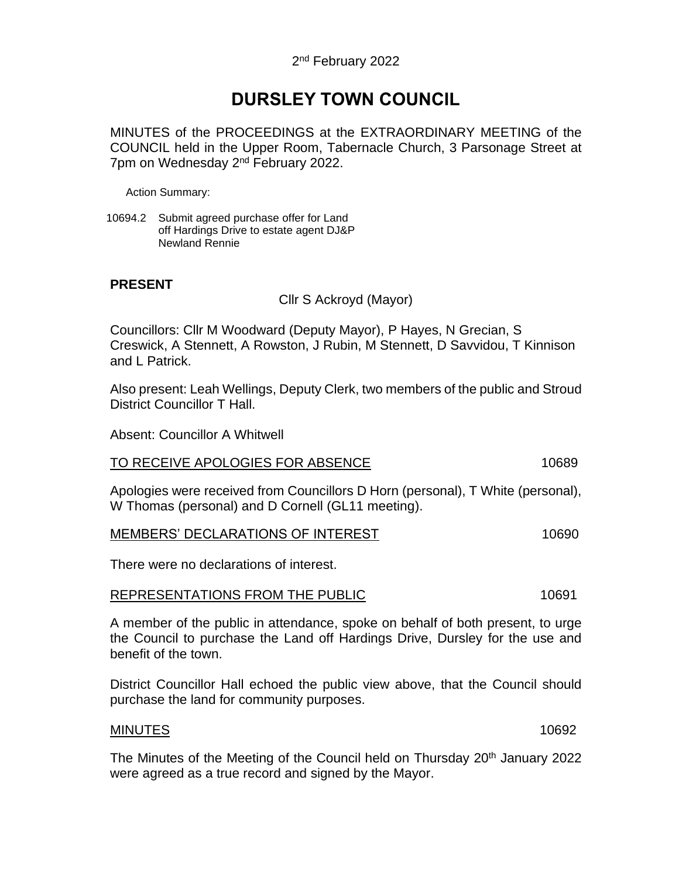# **DURSLEY TOWN COUNCIL**

MINUTES of the PROCEEDINGS at the EXTRAORDINARY MEETING of the COUNCIL held in the Upper Room, Tabernacle Church, 3 Parsonage Street at 7pm on Wednesday 2<sup>nd</sup> February 2022.

Action Summary:

10694.2 Submit agreed purchase offer for Land off Hardings Drive to estate agent DJ&P Newland Rennie

### **PRESENT**

Cllr S Ackroyd (Mayor)

Councillors: Cllr M Woodward (Deputy Mayor), P Hayes, N Grecian, S Creswick, A Stennett, A Rowston, J Rubin, M Stennett, D Savvidou, T Kinnison and L Patrick.

Also present: Leah Wellings, Deputy Clerk, two members of the public and Stroud District Councillor T Hall.

Absent: Councillor A Whitwell

#### TO RECEIVE APOLOGIES FOR ABSENCE 10689

Apologies were received from Councillors D Horn (personal), T White (personal), W Thomas (personal) and D Cornell (GL11 meeting).

| <b>MEMBERS' DECLARATIONS OF INTEREST</b> | 10690 |
|------------------------------------------|-------|
|------------------------------------------|-------|

There were no declarations of interest.

#### REPRESENTATIONS FROM THE PUBLIC **10691**

A member of the public in attendance, spoke on behalf of both present, to urge the Council to purchase the Land off Hardings Drive, Dursley for the use and benefit of the town.

District Councillor Hall echoed the public view above, that the Council should purchase the land for community purposes.

#### MINUTES 10692

The Minutes of the Meeting of the Council held on Thursday 20<sup>th</sup> January 2022 were agreed as a true record and signed by the Mayor.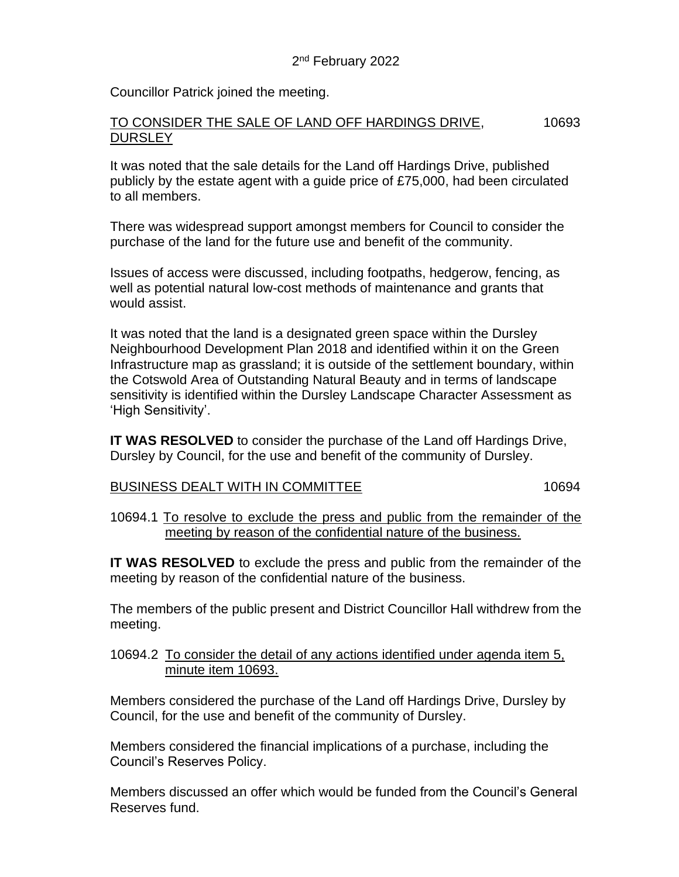Councillor Patrick joined the meeting.

# TO CONSIDER THE SALE OF LAND OFF HARDINGS DRIVE, 10693 **DURSLEY**

It was noted that the sale details for the Land off Hardings Drive, published publicly by the estate agent with a guide price of £75,000, had been circulated to all members.

There was widespread support amongst members for Council to consider the purchase of the land for the future use and benefit of the community.

Issues of access were discussed, including footpaths, hedgerow, fencing, as well as potential natural low-cost methods of maintenance and grants that would assist.

It was noted that the land is a designated green space within the Dursley Neighbourhood Development Plan 2018 and identified within it on the Green Infrastructure map as grassland; it is outside of the settlement boundary, within the Cotswold Area of Outstanding Natural Beauty and in terms of landscape sensitivity is identified within the Dursley Landscape Character Assessment as 'High Sensitivity'.

**IT WAS RESOLVED** to consider the purchase of the Land off Hardings Drive, Dursley by Council, for the use and benefit of the community of Dursley.

# BUSINESS DEALT WITH IN COMMITTEE 10694

10694.1 To resolve to exclude the press and public from the remainder of the meeting by reason of the confidential nature of the business.

**IT WAS RESOLVED** to exclude the press and public from the remainder of the meeting by reason of the confidential nature of the business.

The members of the public present and District Councillor Hall withdrew from the meeting.

# 10694.2 To consider the detail of any actions identified under agenda item 5, minute item 10693.

Members considered the purchase of the Land off Hardings Drive, Dursley by Council, for the use and benefit of the community of Dursley.

Members considered the financial implications of a purchase, including the Council's Reserves Policy.

Members discussed an offer which would be funded from the Council's General Reserves fund.